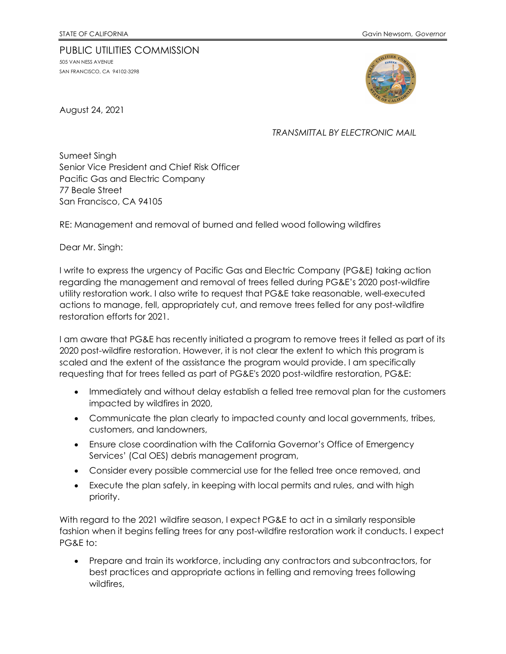## PUBLIC UTILITIES COMMISSION 505 VAN NESS AVENUE SAN FRANCISCO, CA 94102-3298



August 24, 2021

## *TRANSMITTAL BY ELECTRONIC MAIL*

Sumeet Singh Senior Vice President and Chief Risk Officer Pacific Gas and Electric Company 77 Beale Street San Francisco, CA 94105

RE: Management and removal of burned and felled wood following wildfires

Dear Mr. Singh:

I write to express the urgency of Pacific Gas and Electric Company (PG&E) taking action regarding the management and removal of trees felled during PG&E's 2020 post-wildfire utility restoration work. I also write to request that PG&E take reasonable, well-executed actions to manage, fell, appropriately cut, and remove trees felled for any post-wildfire restoration efforts for 2021.

I am aware that PG&E has recently initiated a program to remove trees it felled as part of its 2020 post-wildfire restoration. However, it is not clear the extent to which this program is scaled and the extent of the assistance the program would provide. I am specifically requesting that for trees felled as part of PG&E's 2020 post-wildfire restoration, PG&E:

- Immediately and without delay establish a felled tree removal plan for the customers impacted by wildfires in 2020,
- Communicate the plan clearly to impacted county and local governments, tribes, customers, and landowners,
- Ensure close coordination with the California Governor's Office of Emergency Services' (Cal OES) debris management program,
- Consider every possible commercial use for the felled tree once removed, and
- Execute the plan safely, in keeping with local permits and rules, and with high priority.

With regard to the 2021 wildfire season, I expect PG&E to act in a similarly responsible fashion when it begins felling trees for any post-wildfire restoration work it conducts. I expect PG&E to:

• Prepare and train its workforce, including any contractors and subcontractors, for best practices and appropriate actions in felling and removing trees following wildfires,